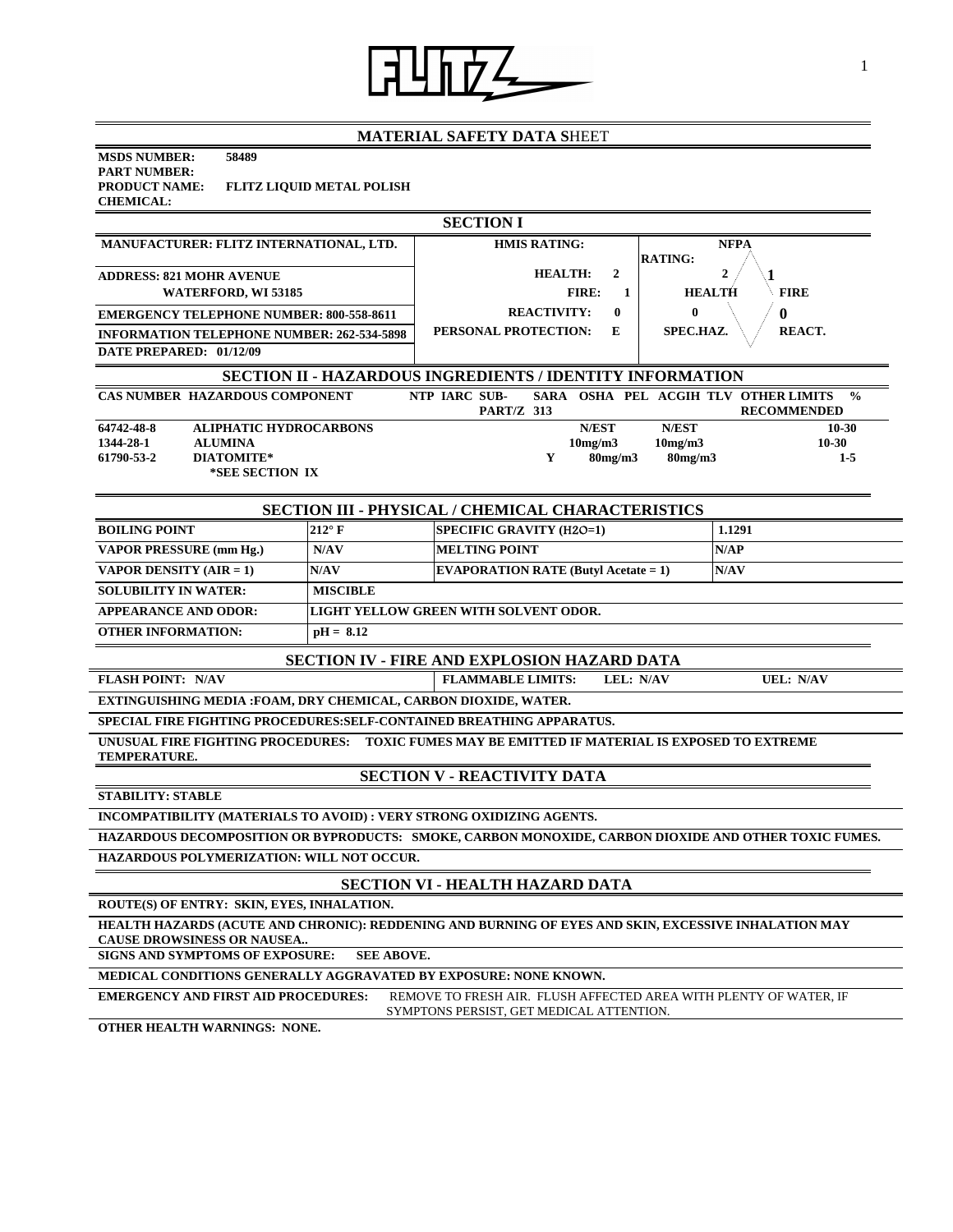

## **MATERIAL SAFETY DATA S**HEET

| <b>MSDS NUMBER:</b>  | 58489                            |
|----------------------|----------------------------------|
| <b>PART NUMBER:</b>  |                                  |
| <b>PRODUCT NAME:</b> | <b>FLITZ LIOUID METAL POLISH</b> |
| <b>CHEMICAL:</b>     |                                  |

| <b>SECTION I</b>                                                                                                                                            |                 |                                                           |                                                                             |  |  |
|-------------------------------------------------------------------------------------------------------------------------------------------------------------|-----------------|-----------------------------------------------------------|-----------------------------------------------------------------------------|--|--|
| MANUFACTURER: FLITZ INTERNATIONAL, LTD.                                                                                                                     |                 | <b>HMIS RATING:</b>                                       | <b>NFPA</b>                                                                 |  |  |
| <b>ADDRESS: 821 MOHR AVENUE</b>                                                                                                                             |                 | <b>RATING:</b><br>$\overline{2}$<br><b>HEALTH:</b>        | $\overline{2}$                                                              |  |  |
| <b>WATERFORD, WI 53185</b>                                                                                                                                  |                 | <b>FIRE:</b><br>$\mathbf{1}$                              | <b>FIRE</b><br><b>HEALTH</b>                                                |  |  |
| <b>EMERGENCY TELEPHONE NUMBER: 800-558-8611</b>                                                                                                             |                 | <b>REACTIVITY:</b><br>$\mathbf{0}$                        | $\mathbf{0}$<br>0                                                           |  |  |
| <b>INFORMATION TELEPHONE NUMBER: 262-534-5898</b>                                                                                                           |                 | PERSONAL PROTECTION:<br>E                                 | SPEC.HAZ.<br>REACT.                                                         |  |  |
| DATE PREPARED: 01/12/09                                                                                                                                     |                 |                                                           |                                                                             |  |  |
|                                                                                                                                                             |                 | SECTION II - HAZARDOUS INGREDIENTS / IDENTITY INFORMATION |                                                                             |  |  |
| <b>CAS NUMBER HAZARDOUS COMPONENT</b>                                                                                                                       |                 | NTP IARC SUB-<br><b>PART/Z 313</b>                        | SARA OSHA PEL ACGIH TLV OTHER LIMITS<br>$\frac{0}{0}$<br><b>RECOMMENDED</b> |  |  |
| 64742-48-8<br><b>ALIPHATIC HYDROCARBONS</b>                                                                                                                 |                 | N/EST                                                     | N/EST<br>$10 - 30$                                                          |  |  |
| 1344-28-1<br><b>ALUMINA</b><br><b>DIATOMITE*</b><br>61790-53-2                                                                                              |                 | 10mg/m3<br>Y<br>80mg/m3                                   | $10 - 30$<br>10mg/m3<br>$80$ mg/m $3$<br>$1-5$                              |  |  |
| *SEE SECTION IX                                                                                                                                             |                 |                                                           |                                                                             |  |  |
|                                                                                                                                                             |                 |                                                           |                                                                             |  |  |
|                                                                                                                                                             |                 | <b>SECTION III - PHYSICAL / CHEMICAL CHARACTERISTICS</b>  |                                                                             |  |  |
| <b>BOILING POINT</b>                                                                                                                                        | $212^{\circ}$ F | <b>SPECIFIC GRAVITY (H2O=1)</b>                           | 1.1291                                                                      |  |  |
| <b>VAPOR PRESSURE (mm Hg.)</b>                                                                                                                              | N/AV            | <b>MELTING POINT</b>                                      | N/AP                                                                        |  |  |
| <b>VAPOR DENSITY (AIR = 1)</b>                                                                                                                              | N/AV            | <b>EVAPORATION RATE (Butyl Acetate = 1)</b>               | N/AV                                                                        |  |  |
| <b>SOLUBILITY IN WATER:</b>                                                                                                                                 | <b>MISCIBLE</b> |                                                           |                                                                             |  |  |
| <b>APPEARANCE AND ODOR:</b>                                                                                                                                 |                 | LIGHT YELLOW GREEN WITH SOLVENT ODOR.                     |                                                                             |  |  |
| <b>OTHER INFORMATION:</b>                                                                                                                                   | $pH = 8.12$     |                                                           |                                                                             |  |  |
| <b>SECTION IV - FIRE AND EXPLOSION HAZARD DATA</b>                                                                                                          |                 |                                                           |                                                                             |  |  |
| <b>FLASH POINT: N/AV</b>                                                                                                                                    |                 | <b>FLAMMABLE LIMITS:</b><br>LEL: N/AV                     | <b>UEL: N/AV</b>                                                            |  |  |
| EXTINGUISHING MEDIA :FOAM, DRY CHEMICAL, CARBON DIOXIDE, WATER.                                                                                             |                 |                                                           |                                                                             |  |  |
| SPECIAL FIRE FIGHTING PROCEDURES: SELF-CONTAINED BREATHING APPARATUS.                                                                                       |                 |                                                           |                                                                             |  |  |
| UNUSUAL FIRE FIGHTING PROCEDURES:     TOXIC FUMES MAY BE EMITTED IF MATERIAL IS EXPOSED TO EXTREME<br><b>TEMPERATURE.</b>                                   |                 |                                                           |                                                                             |  |  |
| <b>SECTION V - REACTIVITY DATA</b>                                                                                                                          |                 |                                                           |                                                                             |  |  |
| <b>STABILITY: STABLE</b>                                                                                                                                    |                 |                                                           |                                                                             |  |  |
| INCOMPATIBILITY (MATERIALS TO AVOID) : VERY STRONG OXIDIZING AGENTS.                                                                                        |                 |                                                           |                                                                             |  |  |
| HAZARDOUS DECOMPOSITION OR BYPRODUCTS: SMOKE, CARBON MONOXIDE, CARBON DIOXIDE AND OTHER TOXIC FUMES.                                                        |                 |                                                           |                                                                             |  |  |
| HAZARDOUS POLYMERIZATION: WILL NOT OCCUR.                                                                                                                   |                 |                                                           |                                                                             |  |  |
| <b>SECTION VI - HEALTH HAZARD DATA</b>                                                                                                                      |                 |                                                           |                                                                             |  |  |
| ROUTE(S) OF ENTRY: SKIN, EYES, INHALATION.                                                                                                                  |                 |                                                           |                                                                             |  |  |
| HEALTH HAZARDS (ACUTE AND CHRONIC): REDDENING AND BURNING OF EYES AND SKIN, EXCESSIVE INHALATION MAY<br><b>CAUSE DROWSINESS OR NAUSEA</b>                   |                 |                                                           |                                                                             |  |  |
| <b>SEE ABOVE.</b><br>SIGNS AND SYMPTOMS OF EXPOSURE:                                                                                                        |                 |                                                           |                                                                             |  |  |
| MEDICAL CONDITIONS GENERALLY AGGRAVATED BY EXPOSURE: NONE KNOWN.                                                                                            |                 |                                                           |                                                                             |  |  |
| <b>EMERGENCY AND FIRST AID PROCEDURES:</b><br>REMOVE TO FRESH AIR. FLUSH AFFECTED AREA WITH PLENTY OF WATER, IF<br>SYMPTONS PERSIST, GET MEDICAL ATTENTION. |                 |                                                           |                                                                             |  |  |
| OTHER HEALTH WARNINGS: NONE.                                                                                                                                |                 |                                                           |                                                                             |  |  |